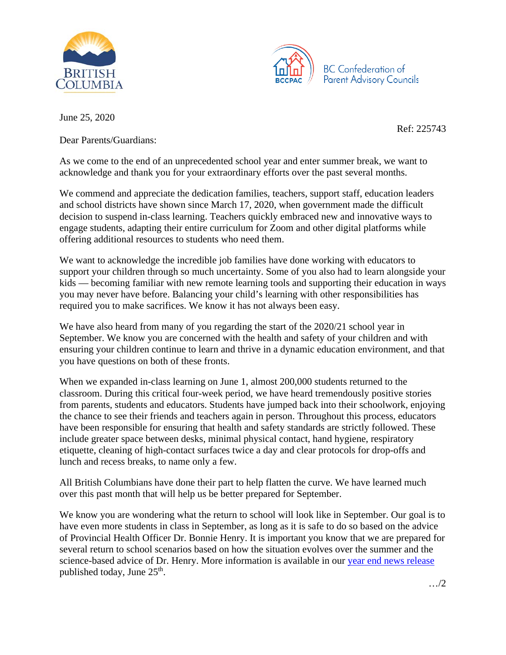



June 25, 2020

Dear Parents/Guardians:

Ref: 225743

As we come to the end of an unprecedented school year and enter summer break, we want to acknowledge and thank you for your extraordinary efforts over the past several months.

We commend and appreciate the dedication families, teachers, support staff, education leaders and school districts have shown since March 17, 2020, when government made the difficult decision to suspend in-class learning. Teachers quickly embraced new and innovative ways to engage students, adapting their entire curriculum for Zoom and other digital platforms while offering additional resources to students who need them.

We want to acknowledge the incredible job families have done working with educators to support your children through so much uncertainty. Some of you also had to learn alongside your kids — becoming familiar with new remote learning tools and supporting their education in ways you may never have before. Balancing your child's learning with other responsibilities has required you to make sacrifices. We know it has not always been easy.

We have also heard from many of you regarding the start of the 2020/21 school year in September. We know you are concerned with the health and safety of your children and with ensuring your children continue to learn and thrive in a dynamic education environment, and that you have questions on both of these fronts.

When we expanded in-class learning on June 1, almost 200,000 students returned to the classroom. During this critical four-week period, we have heard tremendously positive stories from parents, students and educators. Students have jumped back into their schoolwork, enjoying the chance to see their friends and teachers again in person. Throughout this process, educators have been responsible for ensuring that health and safety standards are strictly followed. These include greater space between desks, minimal physical contact, hand hygiene, respiratory etiquette, cleaning of high-contact surfaces twice a day and clear protocols for drop-offs and lunch and recess breaks, to name only a few.

All British Columbians have done their part to help flatten the curve. We have learned much over this past month that will help us be better prepared for September.

We know you are wondering what the return to school will look like in September. Our goal is to have even more students in class in September, as long as it is safe to do so based on the advice of Provincial Health Officer Dr. Bonnie Henry. It is important you know that we are prepared for several return to school scenarios based on how the situation evolves over the summer and the science-based advice of Dr. Henry. More information is available in our [year end news release](https://news.gov.bc.ca/ministries/education) published today, June 25<sup>th</sup>.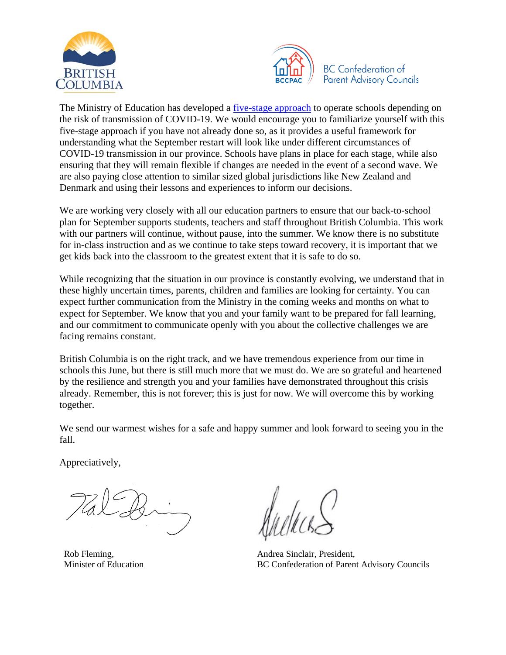



The Ministry of Education has developed a [five-stage approach](https://www2.gov.bc.ca/assets/gov/education/administration/kindergarten-to-grade-12/safe-caring-orderly/k-12-education-restart-plan.pdf) to operate schools depending on the risk of transmission of COVID-19. We would encourage you to familiarize yourself with this five-stage approach if you have not already done so, as it provides a useful framework for understanding what the September restart will look like under different circumstances of COVID-19 transmission in our province. Schools have plans in place for each stage, while also ensuring that they will remain flexible if changes are needed in the event of a second wave. We are also paying close attention to similar sized global jurisdictions like New Zealand and Denmark and using their lessons and experiences to inform our decisions.

We are working very closely with all our education partners to ensure that our back-to-school plan for September supports students, teachers and staff throughout British Columbia. This work with our partners will continue, without pause, into the summer. We know there is no substitute for in-class instruction and as we continue to take steps toward recovery, it is important that we get kids back into the classroom to the greatest extent that it is safe to do so.

While recognizing that the situation in our province is constantly evolving, we understand that in these highly uncertain times, parents, children and families are looking for certainty. You can expect further communication from the Ministry in the coming weeks and months on what to expect for September. We know that you and your family want to be prepared for fall learning, and our commitment to communicate openly with you about the collective challenges we are facing remains constant.

British Columbia is on the right track, and we have tremendous experience from our time in schools this June, but there is still much more that we must do. We are so grateful and heartened by the resilience and strength you and your families have demonstrated throughout this crisis already. Remember, this is not forever; this is just for now. We will overcome this by working together.

We send our warmest wishes for a safe and happy summer and look forward to seeing you in the fall.

Appreciatively,

Rob Fleming, Minister of Education

Andrea Sinclair, President, BC Confederation of Parent Advisory Councils